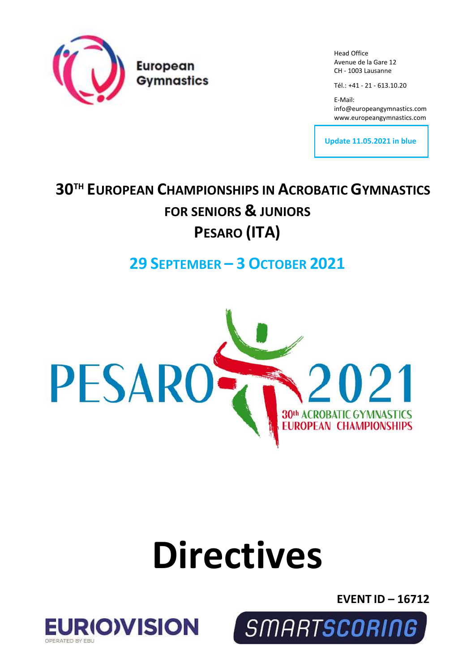

Head Office Avenue de la Gare 12 CH - 1003 Lausanne

Tél.: +41 - 21 - 613.10.20

E-Mail: info@europeangymnastics.com [www.europeangymnastics.com](http://www.europeangymnastics.com/)

**Update 11.05.2021 in blue**

## **30TH EUROPEAN CHAMPIONSHIPS IN ACROBATIC GYMNASTICS FOR SENIORS & JUNIORS PESARO (ITA)**

## **29 SEPTEMBER – 3 OCTOBER 2021**



# **Directives**

**EVENT ID – 16712**



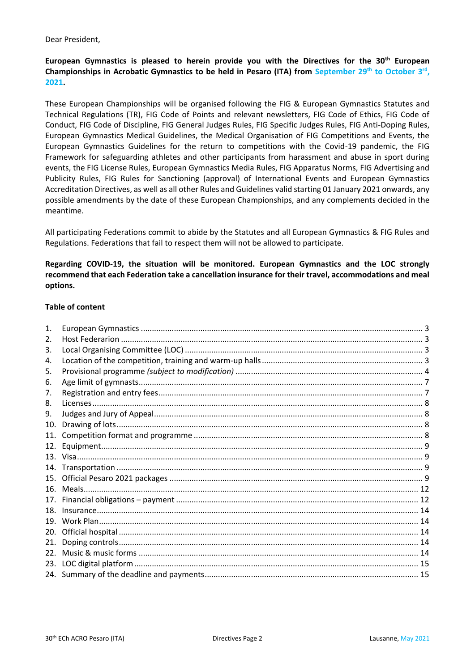#### Dear President,

#### **European Gymnastics is pleased to herein provide you with the Directives for the 30th European**  Championships in Acrobatic Gymnastics to be held in Pesaro (ITA) from September 29<sup>th</sup> to October 3<sup>rd</sup>, **2021.**

These European Championships will be organised following the FIG & European Gymnastics Statutes and Technical Regulations (TR), FIG Code of Points and relevant newsletters, FIG Code of Ethics, FIG Code of Conduct, FIG Code of Discipline, FIG General Judges Rules, FIG Specific Judges Rules, FIG Anti-Doping Rules, European Gymnastics Medical Guidelines, the Medical Organisation of FIG Competitions and Events, the European Gymnastics Guidelines for the return to competitions with the Covid-19 pandemic, the FIG Framework for safeguarding athletes and other participants from harassment and abuse in sport during events, the FIG License Rules, European Gymnastics Media Rules, FIG Apparatus Norms, FIG Advertising and Publicity Rules, FIG Rules for Sanctioning (approval) of International Events and European Gymnastics Accreditation Directives, as well as all other Rules and Guidelines valid starting 01 January 2021 onwards, any possible amendments by the date of these European Championships, and any complements decided in the meantime.

All participating Federations commit to abide by the Statutes and all European Gymnastics & FIG Rules and Regulations. Federations that fail to respect them will not be allowed to participate.

#### **Regarding COVID-19, the situation will be monitored. European Gymnastics and the LOC strongly recommend that each Federation take a cancellation insurance for their travel, accommodations and meal options.**

#### **Table of content**

| $\mathbf{1}$ .  |  |
|-----------------|--|
| 2.              |  |
| 3.              |  |
| 4.              |  |
| 5.              |  |
| 6.              |  |
| 7.              |  |
| 8.              |  |
| 9.              |  |
| 10.             |  |
| 11.             |  |
| 12.             |  |
|                 |  |
| 14.             |  |
| 15.             |  |
| 16.             |  |
| 17.             |  |
| 18.             |  |
| 19.             |  |
| 20.             |  |
| 21.             |  |
| 22 <sub>1</sub> |  |
| 23.             |  |
|                 |  |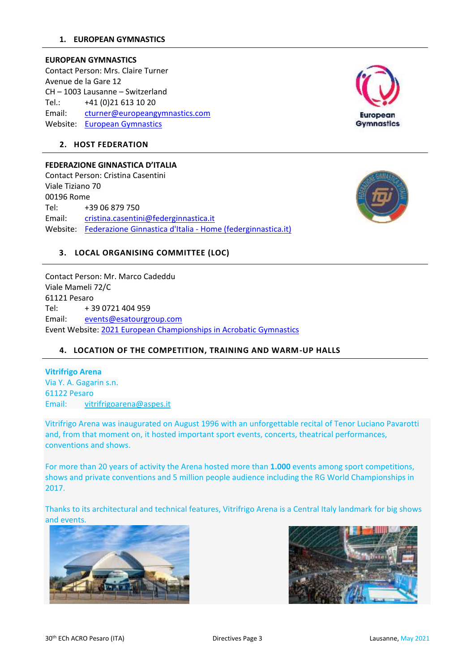#### <span id="page-2-0"></span>**EUROPEAN GYMNASTICS**

Contact Person: Mrs. Claire Turner Avenue de la Gare 12 CH – 1003 Lausanne – Switzerland Tel.: +41 (0)21 613 10 20 Email: [cturner@europeangymnastics.com](mailto:cturner@europeangymnastics.com) Website: [European Gymnastics](https://www.europeangymnastics.com/)



#### <span id="page-2-1"></span>**2. HOST FEDERATION**

#### **FEDERAZIONE GINNASTICA D'ITALIA**

Contact Person: Cristina Casentini Viale Tiziano 70 00196 Rome Tel: +39 06 879 750 Email: [cristina.casentini@federginnastica.it](mailto:cristina.casentini@federginnastica.it) Website: [Federazione Ginnastica d'Italia -](https://www.federginnastica.it/) Home (federginnastica.it)



#### <span id="page-2-2"></span>**3. LOCAL ORGANISING COMMITTEE (LOC)**

Contact Person: Mr. Marco Cadeddu Viale Mameli 72/C 61121 Pesaro Tel: + 39 0721 404 959 Email: [events@esatourgroup.com](mailto:events@esatourgroup.com) Event Website: [2021 European Championships in Acrobatic Gymnastics](https://www.europeangymnastics.com/event/2021-european-championships-acrobatic-gymnastics/overview)

#### <span id="page-2-3"></span>**4. LOCATION OF THE COMPETITION, TRAINING AND WARM-UP HALLS**

**Vitrifrigo Arena** Via Y. A. Gagarin s.n. 61122 Pesaro Email: [vitrifrigoarena@aspes.it](mailto:vitrifrigoarena@aspes.it)

Vitrifrigo Arena was inaugurated on August 1996 with an unforgettable recital of Tenor Luciano Pavarotti and, from that moment on, it hosted important sport events, concerts, theatrical performances, conventions and shows.

For more than 20 years of activity the Arena hosted more than **1.000** events among sport competitions, shows and private conventions and 5 million people audience including the RG World Championships in 2017.

Thanks to its architectural and technical features, Vitrifrigo Arena is a Central Italy landmark for big shows and events.



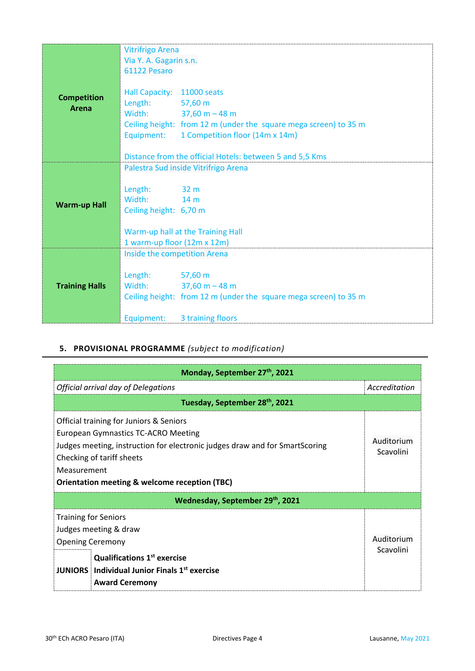|                             | <b>Vitrifrigo Arena</b>               |                                                                                                                                                                                                                            |
|-----------------------------|---------------------------------------|----------------------------------------------------------------------------------------------------------------------------------------------------------------------------------------------------------------------------|
|                             | Via Y. A. Gagarin s.n.                |                                                                                                                                                                                                                            |
|                             | 61122 Pesaro                          |                                                                                                                                                                                                                            |
| <b>Competition</b><br>Arena | Hall Capacity: 11000 seats<br>Length: | $57,60 \text{ m}$<br>Width: $37,60 m - 48 m$<br>Ceiling height: from 12 m (under the square mega screen) to 35 m<br>Equipment: 1 Competition floor (14m x 14m)<br>Distance from the official Hotels: between 5 and 5,5 Kms |
|                             |                                       | Palestra Sud inside Vitrifrigo Arena                                                                                                                                                                                       |
|                             |                                       |                                                                                                                                                                                                                            |
|                             | Length:<br>$32 \text{ m}$             |                                                                                                                                                                                                                            |
|                             | Width:<br>$14 \text{ m}$              |                                                                                                                                                                                                                            |
| <b>Warm-up Hall</b>         | Ceiling height: 6,70 m                |                                                                                                                                                                                                                            |
|                             |                                       |                                                                                                                                                                                                                            |
|                             |                                       | Warm-up hall at the Training Hall                                                                                                                                                                                          |
|                             | 1 warm-up floor (12m x 12m)           |                                                                                                                                                                                                                            |
|                             | Inside the competition Arena          |                                                                                                                                                                                                                            |
|                             |                                       |                                                                                                                                                                                                                            |
|                             | Length: 57,60 m                       |                                                                                                                                                                                                                            |
| <b>Training Halls</b>       |                                       | Width: $37,60 m - 48 m$                                                                                                                                                                                                    |
|                             |                                       | Ceiling height: from 12 m (under the square mega screen) to 35 m                                                                                                                                                           |
|                             | Equipment:                            | 3 training floors                                                                                                                                                                                                          |

### <span id="page-3-0"></span>**5. PROVISIONAL PROGRAMME** *(subject to modification)*

| Monday, September 27th, 2021                                                                                                                                                                                                                                          |                         |  |  |  |
|-----------------------------------------------------------------------------------------------------------------------------------------------------------------------------------------------------------------------------------------------------------------------|-------------------------|--|--|--|
| Official arrival day of Delegations                                                                                                                                                                                                                                   | Accreditation           |  |  |  |
| Tuesday, September 28th, 2021                                                                                                                                                                                                                                         |                         |  |  |  |
| Official training for Juniors & Seniors<br>European Gymnastics TC-ACRO Meeting<br>Judges meeting, instruction for electronic judges draw and for SmartScoring<br>Checking of tariff sheets<br>Measurement<br><b>Orientation meeting &amp; welcome reception (TBC)</b> | Auditorium<br>Scavolini |  |  |  |
| Wednesday, September 29th, 2021                                                                                                                                                                                                                                       |                         |  |  |  |
| <b>Training for Seniors</b><br>Judges meeting & draw<br><b>Opening Ceremony</b><br><b>Qualifications 1st exercise</b><br><b>JUNIORS</b> Individual Junior Finals 1 <sup>st</sup> exercise<br><b>Award Ceremony</b>                                                    | Auditorium<br>Scavolini |  |  |  |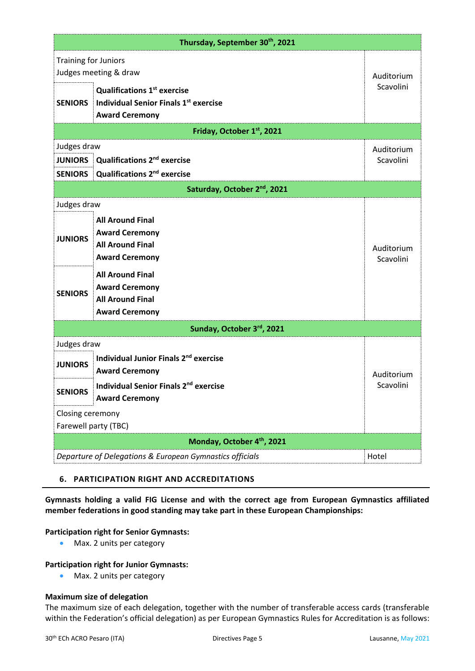| Thursday, September 30th, 2021                       |                                                                                                             |                         |  |  |
|------------------------------------------------------|-------------------------------------------------------------------------------------------------------------|-------------------------|--|--|
| <b>Training for Juniors</b><br>Judges meeting & draw |                                                                                                             |                         |  |  |
| <b>SENIORS</b>                                       | <b>Qualifications 1st exercise</b><br><b>Individual Senior Finals 1st exercise</b><br><b>Award Ceremony</b> | Auditorium<br>Scavolini |  |  |
|                                                      | Friday, October 1st, 2021                                                                                   |                         |  |  |
| Judges draw                                          |                                                                                                             | Auditorium              |  |  |
| <b>JUNIORS</b>                                       | <b>Qualifications 2<sup>nd</sup> exercise</b>                                                               | Scavolini               |  |  |
| <b>SENIORS</b>                                       | Qualifications 2 <sup>nd</sup> exercise                                                                     |                         |  |  |
|                                                      | Saturday, October 2 <sup>nd</sup> , 2021                                                                    |                         |  |  |
| Judges draw                                          |                                                                                                             |                         |  |  |
| <b>JUNIORS</b>                                       | <b>All Around Final</b><br><b>Award Ceremony</b><br><b>All Around Final</b><br><b>Award Ceremony</b>        | Auditorium<br>Scavolini |  |  |
| <b>SENIORS</b>                                       | <b>All Around Final</b><br><b>Award Ceremony</b><br><b>All Around Final</b><br><b>Award Ceremony</b>        |                         |  |  |
|                                                      | Sunday, October 3rd, 2021                                                                                   |                         |  |  |
| Judges draw                                          |                                                                                                             |                         |  |  |
| <b>JUNIORS</b>                                       | Individual Junior Finals 2 <sup>nd</sup> exercise<br><b>Award Ceremony</b>                                  | Auditorium              |  |  |
| <b>SENIORS</b>                                       | Individual Senior Finals 2nd exercise<br><b>Award Ceremony</b>                                              | Scavolini               |  |  |
| Closing ceremony                                     |                                                                                                             |                         |  |  |
| Farewell party (TBC)                                 |                                                                                                             |                         |  |  |
| Monday, October 4th, 2021                            |                                                                                                             |                         |  |  |
|                                                      | Departure of Delegations & European Gymnastics officials<br>Hotel                                           |                         |  |  |

#### **6. PARTICIPATION RIGHT AND ACCREDITATIONS**

**Gymnasts holding a valid FIG License and with the correct age from European Gymnastics affiliated member federations in good standing may take part in these European Championships:** 

#### **Participation right for Senior Gymnasts:**

• Max. 2 units per category

#### **Participation right for Junior Gymnasts:**

• Max. 2 units per category

#### **Maximum size of delegation**

The maximum size of each delegation, together with the number of transferable access cards (transferable within the Federation's official delegation) as per European Gymnastics Rules for Accreditation is as follows: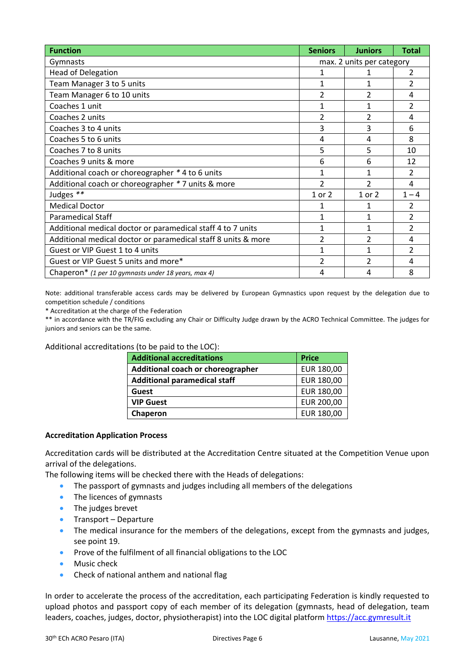| <b>Function</b>                                               | <b>Seniors</b> | <b>Juniors</b>            | <b>Total</b>             |  |
|---------------------------------------------------------------|----------------|---------------------------|--------------------------|--|
| Gymnasts                                                      |                | max. 2 units per category |                          |  |
| <b>Head of Delegation</b>                                     |                |                           | 2                        |  |
| Team Manager 3 to 5 units                                     | $\mathbf{1}$   | $\mathbf{1}$              | $\overline{2}$           |  |
| Team Manager 6 to 10 units                                    | $\overline{2}$ | $\overline{2}$            | 4                        |  |
| Coaches 1 unit                                                | $\mathbf{1}$   | $\mathbf{1}$              | $\overline{2}$           |  |
| Coaches 2 units                                               | $\overline{2}$ | $\overline{2}$            | 4                        |  |
| Coaches 3 to 4 units                                          | 3              | 3                         | 6                        |  |
| Coaches 5 to 6 units                                          | 4              | 4                         | 8                        |  |
| Coaches 7 to 8 units                                          | 5              | 5                         | 10                       |  |
| Coaches 9 units & more                                        | 6              | 6                         | 12                       |  |
| Additional coach or choreographer * 4 to 6 units              | 1              | $\mathbf{1}$              | $\overline{\mathcal{L}}$ |  |
| Additional coach or choreographer * 7 units & more            | $\mathfrak{D}$ | $\mathfrak{p}$            | 4                        |  |
| Judges **                                                     | 1 or 2         | 1 or 2                    | $1 - 4$                  |  |
| <b>Medical Doctor</b>                                         | 1              | 1                         | 2                        |  |
| <b>Paramedical Staff</b>                                      | $\mathbf{1}$   | $\mathbf{1}$              | 2                        |  |
| Additional medical doctor or paramedical staff 4 to 7 units   | $\mathbf{1}$   | $\mathbf{1}$              | $\overline{2}$           |  |
| Additional medical doctor or paramedical staff 8 units & more | $\overline{2}$ | $\overline{2}$            | 4                        |  |
| Guest or VIP Guest 1 to 4 units                               | $\mathbf{1}$   | $\mathbf{1}$              | $\overline{\mathcal{L}}$ |  |
| Guest or VIP Guest 5 units and more*                          | 2              | 2                         | 4                        |  |
| Chaperon* (1 per 10 gymnasts under 18 years, max 4)           | 4              | 4                         | 8                        |  |

Note: additional transferable access cards may be delivered by European Gymnastics upon request by the delegation due to competition schedule / conditions

\* Accreditation at the charge of the Federation

\*\* in accordance with the TR/FIG excluding any Chair or Difficulty Judge drawn by the ACRO Technical Committee. The judges for juniors and seniors can be the same.

Additional accreditations (to be paid to the LOC):

| <b>Additional accreditations</b>    | <b>Price</b> |
|-------------------------------------|--------------|
| Additional coach or choreographer   | EUR 180,00   |
| <b>Additional paramedical staff</b> | EUR 180,00   |
| Guest                               | EUR 180,00   |
| <b>VIP Guest</b>                    | EUR 200,00   |
| Chaperon                            | EUR 180,00   |

#### **Accreditation Application Process**

Accreditation cards will be distributed at the Accreditation Centre situated at the Competition Venue upon arrival of the delegations.

The following items will be checked there with the Heads of delegations:

- The passport of gymnasts and judges including all members of the delegations
- The licences of gymnasts
- The judges brevet
- Transport Departure
- The medical insurance for the members of the delegations, except from the gymnasts and judges, see point 19.
- Prove of the fulfilment of all financial obligations to the LOC
- Music check
- Check of national anthem and national flag

In order to accelerate the process of the accreditation, each participating Federation is kindly requested to upload photos and passport copy of each member of its delegation (gymnasts, head of delegation, team leaders, coaches, judges, doctor, physiotherapist) into the LOC digital platform [https://acc.gymresult.it](https://acc.gymresult.it/)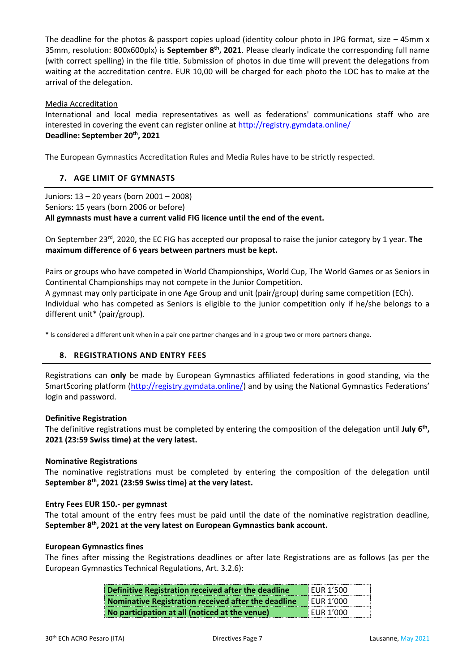The deadline for the photos & passport copies upload (identity colour photo in JPG format, size  $-$  45mm x 35mm, resolution: 800x600plx) is **September 8th , 2021**. Please clearly indicate the corresponding full name (with correct spelling) in the file title. Submission of photos in due time will prevent the delegations from waiting at the accreditation centre. EUR 10,00 will be charged for each photo the LOC has to make at the arrival of the delegation.

#### Media Accreditation

International and local media representatives as well as federations' communications staff who are interested in covering the event can register online at<http://registry.gymdata.online/> **Deadline: September 20 th, 2021**

The European Gymnastics Accreditation Rules and Media Rules have to be strictly respected.

#### <span id="page-6-0"></span>**7. AGE LIMIT OF GYMNASTS**

Juniors: 13 – 20 years (born 2001 – 2008) Seniors: 15 years (born 2006 or before) **All gymnasts must have a current valid FIG licence until the end of the event.**

On September 23rd, 2020, the EC FIG has accepted our proposal to raise the junior category by 1 year. **The maximum difference of 6 years between partners must be kept.**

Pairs or groups who have competed in World Championships, World Cup, The World Games or as Seniors in Continental Championships may not compete in the Junior Competition.

A gymnast may only participate in one Age Group and unit (pair/group) during same competition (ECh). Individual who has competed as Seniors is eligible to the junior competition only if he/she belongs to a different unit\* (pair/group).

\* Is considered a different unit when in a pair one partner changes and in a group two or more partners change.

#### <span id="page-6-1"></span>**8. REGISTRATIONS AND ENTRY FEES**

Registrations can **only** be made by European Gymnastics affiliated federations in good standing, via the SmartScoring platform (http://registry.gymdata.online/) and by using the National Gymnastics Federations' login and password.

#### **Definitive Registration**

The definitive registrations must be completed by entering the composition of the delegation until July 6<sup>th</sup>, **2021 (23:59 Swiss time) at the very latest.**

#### **Nominative Registrations**

The nominative registrations must be completed by entering the composition of the delegation until **September 8th , 2021 (23:59 Swiss time) at the very latest.**

#### **Entry Fees EUR 150.- per gymnast**

The total amount of the entry fees must be paid until the date of the nominative registration deadline, **September 8th, 2021 at the very latest on European Gymnastics bank account.**

#### **European Gymnastics fines**

The fines after missing the Registrations deadlines or after late Registrations are as follows (as per the European Gymnastics Technical Regulations, Art. 3.2.6):

| Definitive Registration received after the deadline | <b>EUR 1'500</b> |
|-----------------------------------------------------|------------------|
| Nominative Registration received after the deadline | <b>FUR 1'000</b> |
| No participation at all (noticed at the venue)      | EUR 1'000        |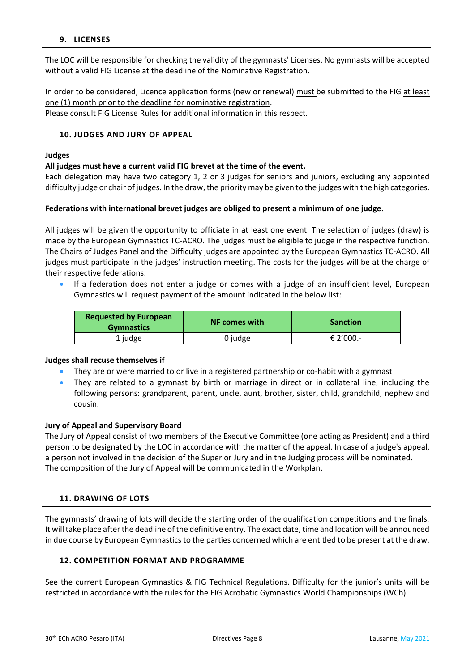#### <span id="page-7-0"></span>**9. LICENSES**

The LOC will be responsible for checking the validity of the gymnasts' Licenses. No gymnasts will be accepted without a valid FIG License at the deadline of the Nominative Registration.

In order to be considered, Licence application forms (new or renewal) must be submitted to the FIG at least one (1) month prior to the deadline for nominative registration. Please consult FIG License Rules for additional information in this respect.

#### <span id="page-7-1"></span>**10. JUDGES AND JURY OF APPEAL**

#### **Judges**

#### **All judges must have a current valid FIG brevet at the time of the event.**

Each delegation may have two category 1, 2 or 3 judges for seniors and juniors, excluding any appointed difficulty judge or chair of judges. In the draw, the priority may be given to the judges with the high categories.

#### **Federations with international brevet judges are obliged to present a minimum of one judge.**

All judges will be given the opportunity to officiate in at least one event. The selection of judges (draw) is made by the European Gymnastics TC-ACRO. The judges must be eligible to judge in the respective function. The Chairs of Judges Panel and the Difficulty judges are appointed by the European Gymnastics TC-ACRO. All judges must participate in the judges' instruction meeting. The costs for the judges will be at the charge of their respective federations.

• If a federation does not enter a judge or comes with a judge of an insufficient level, European Gymnastics will request payment of the amount indicated in the below list:

| <b>Requested by European</b><br><b>Gymnastics</b> | <b>NF comes with</b> | <b>Sanction</b> |
|---------------------------------------------------|----------------------|-----------------|
| 1 judge                                           | 0 judge              | € 2'000.-       |

#### **Judges shall recuse themselves if**

- They are or were married to or live in a registered partnership or co-habit with a gymnast
- They are related to a gymnast by birth or marriage in direct or in collateral line, including the following persons: grandparent, parent, uncle, aunt, brother, sister, child, grandchild, nephew and cousin.

#### **Jury of Appeal and Supervisory Board**

The Jury of Appeal consist of two members of the Executive Committee (one acting as President) and a third person to be designated by the LOC in accordance with the matter of the appeal. In case of a judge's appeal, a person not involved in the decision of the Superior Jury and in the Judging process will be nominated. The composition of the Jury of Appeal will be communicated in the Workplan.

#### <span id="page-7-2"></span>**11. DRAWING OF LOTS**

The gymnasts' drawing of lots will decide the starting order of the qualification competitions and the finals. It will take place after the deadline of the definitive entry. The exact date, time and location will be announced in due course by European Gymnastics to the parties concerned which are entitled to be present at the draw.

#### <span id="page-7-3"></span>**12. COMPETITION FORMAT AND PROGRAMME**

See the current European Gymnastics & FIG Technical Regulations. Difficulty for the junior's units will be restricted in accordance with the rules for the FIG Acrobatic Gymnastics World Championships (WCh).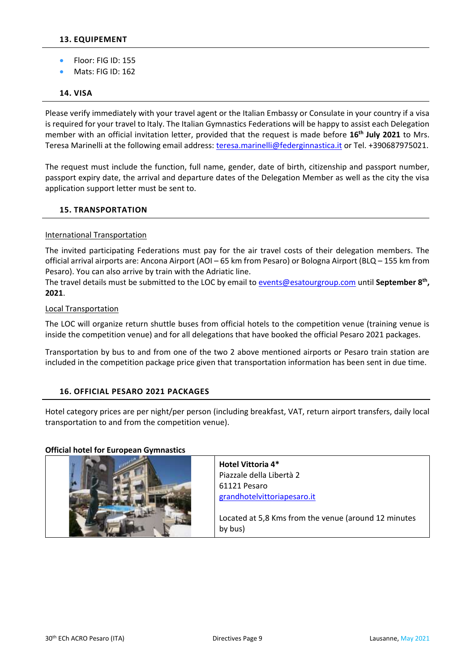- <span id="page-8-0"></span>• Floor: FIG ID: 155
- Mats: FIG ID: 162

#### <span id="page-8-1"></span>**14. VISA**

Please verify immediately with your travel agent or the Italian Embassy or Consulate in your country if a visa is required for your travel to Italy. The Italian Gymnastics Federations will be happy to assist each Delegation member with an official invitation letter, provided that the request is made before **16th July 2021** to Mrs. Teresa Marinelli at the following email address: [teresa.marinelli@federginnastica.it](mailto:teresa.marinelli@federginnastica.it) or Tel. +390687975021.

The request must include the function, full name, gender, date of birth, citizenship and passport number, passport expiry date, the arrival and departure dates of the Delegation Member as well as the city the visa application support letter must be sent to.

#### <span id="page-8-2"></span>**15. TRANSPORTATION**

#### International Transportation

The invited participating Federations must pay for the air travel costs of their delegation members. The official arrival airports are: Ancona Airport (AOI – 65 km from Pesaro) or Bologna Airport (BLQ – 155 km from Pesaro). You can also arrive by train with the Adriatic line.

The travel details must be submitted to the LOC by email to **events@esatourgroup.com** until September 8<sup>th</sup>, **2021**.

#### Local Transportation

The LOC will organize return shuttle buses from official hotels to the competition venue (training venue is inside the competition venue) and for all delegations that have booked the official Pesaro 2021 packages.

Transportation by bus to and from one of the two 2 above mentioned airports or Pesaro train station are included in the competition package price given that transportation information has been sent in due time.

#### <span id="page-8-3"></span>**16. OFFICIAL PESARO 2021 PACKAGES**

Hotel category prices are per night/per person (including breakfast, VAT, return airport transfers, daily local transportation to and from the competition venue).

#### **Official hotel for European Gymnastics**

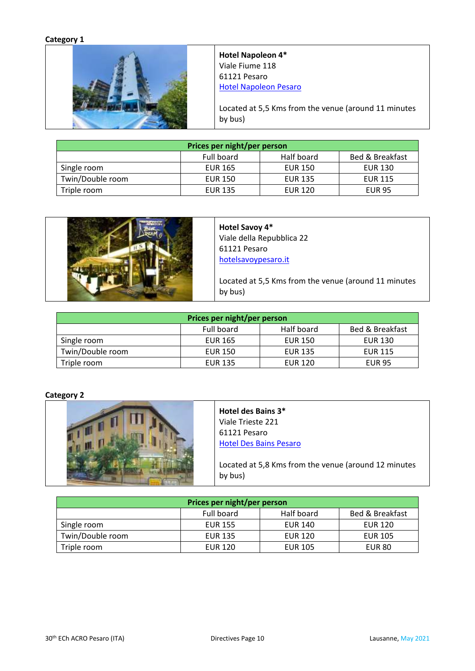#### **Category 1**



**Hotel Napoleon 4\*** Viale Fiume 118 61121 Pesaro [Hotel Napoleon Pesaro](https://www.hotelnapoleonpesaro.it/?utm_source=google&utm_medium=organic&utm_campaign=mybusiness)

Located at 5,5 Kms from the venue (around 11 minutes by bus)

| Prices per night/per person                 |                |                |                |  |
|---------------------------------------------|----------------|----------------|----------------|--|
| Half board<br>Bed & Breakfast<br>Full board |                |                |                |  |
| Single room                                 | <b>EUR 165</b> | <b>EUR 150</b> | <b>EUR 130</b> |  |
| Twin/Double room                            | <b>EUR 150</b> | <b>EUR 135</b> | <b>EUR 115</b> |  |
| Triple room                                 | <b>EUR 135</b> | <b>EUR 120</b> | <b>EUR 95</b>  |  |



**Hotel Savoy 4\*** Viale della Repubblica 22 61121 Pesaro [hotelsavoypesaro.it](https://www.hotelsavoypesaro.it/)

Located at 5,5 Kms from the venue (around 11 minutes by bus)

| Prices per night/per person                 |                |                |                |  |
|---------------------------------------------|----------------|----------------|----------------|--|
| Half board<br>Bed & Breakfast<br>Full board |                |                |                |  |
| Single room                                 | <b>EUR 165</b> | <b>EUR 150</b> | <b>EUR 130</b> |  |
| Twin/Double room                            | <b>EUR 150</b> | <b>EUR 135</b> | <b>EUR 115</b> |  |
| Triple room                                 | <b>EUR 135</b> | <b>EUR 120</b> | <b>EUR 95</b>  |  |

#### **Category 2**



#### **Hotel des Bains 3\*** Viale Trieste 221 61121 Pesaro

[Hotel Des Bains Pesaro](https://www.hoteldesbainspesaro.it/) 

Located at 5,8 Kms from the venue (around 12 minutes by bus)

| Prices per night/per person                            |                |                |                |  |
|--------------------------------------------------------|----------------|----------------|----------------|--|
| Half board<br>Full board<br><b>Bed &amp; Breakfast</b> |                |                |                |  |
| Single room                                            | <b>EUR 155</b> | <b>EUR 140</b> | <b>EUR 120</b> |  |
| Twin/Double room                                       | <b>EUR 135</b> | <b>EUR 120</b> | <b>EUR 105</b> |  |
| Triple room                                            | <b>EUR 120</b> | <b>EUR 105</b> | <b>EUR 80</b>  |  |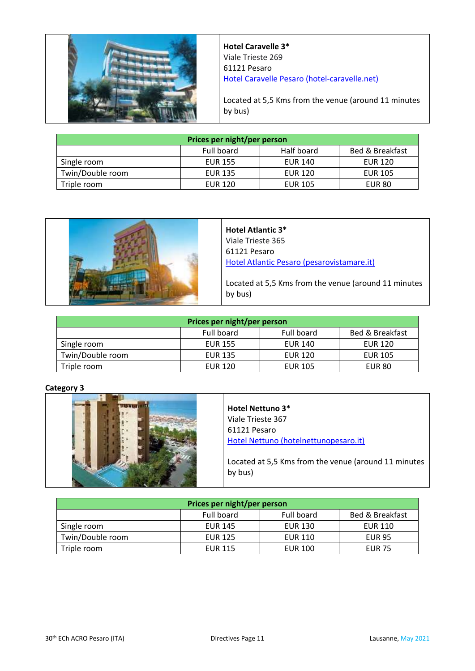

**Hotel Caravelle 3\*** Viale Trieste 269 61121 Pesaro [Hotel Caravelle Pesaro \(hotel-caravelle.net\)](https://www.hotel-caravelle.net/)

Located at 5,5 Kms from the venue (around 11 minutes by bus)

| Prices per night/per person                            |                |                |                |  |
|--------------------------------------------------------|----------------|----------------|----------------|--|
| Half board<br><b>Bed &amp; Breakfast</b><br>Full board |                |                |                |  |
| Single room                                            | <b>EUR 155</b> | EUR 140        | <b>EUR 120</b> |  |
| Twin/Double room                                       | <b>EUR 135</b> | <b>EUR 120</b> | <b>EUR 105</b> |  |
| Triple room                                            | <b>EUR 120</b> | <b>EUR 105</b> | <b>EUR 80</b>  |  |



**Hotel Atlantic 3\*** Viale Trieste 365 61121 Pesaro [Hotel Atlantic Pesaro \(pesarovistamare.it\)](https://www.pesarovistamare.it/?utm_source=google&utm_medium=organic&utm_campaign=mybusiness)

Located at 5,5 Kms from the venue (around 11 minutes by bus)

| Prices per night/per person |                |                |                            |
|-----------------------------|----------------|----------------|----------------------------|
|                             | Full board     | Full board     | <b>Bed &amp; Breakfast</b> |
| Single room                 | <b>EUR 155</b> | <b>EUR 140</b> | <b>EUR 120</b>             |
| Twin/Double room            | <b>EUR 135</b> | <b>EUR 120</b> | <b>EUR 105</b>             |
| Triple room                 | <b>EUR 120</b> | <b>EUR 105</b> | <b>EUR 80</b>              |

#### **Category 3**



| Prices per night/per person |                |                |                 |
|-----------------------------|----------------|----------------|-----------------|
|                             | Full board     | Full board     | Bed & Breakfast |
| Single room                 | <b>EUR 145</b> | <b>EUR 130</b> | <b>EUR 110</b>  |
| Twin/Double room            | <b>EUR 125</b> | <b>EUR 110</b> | <b>EUR 95</b>   |
| Triple room                 | <b>EUR 115</b> | <b>EUR 100</b> | <b>EUR 75</b>   |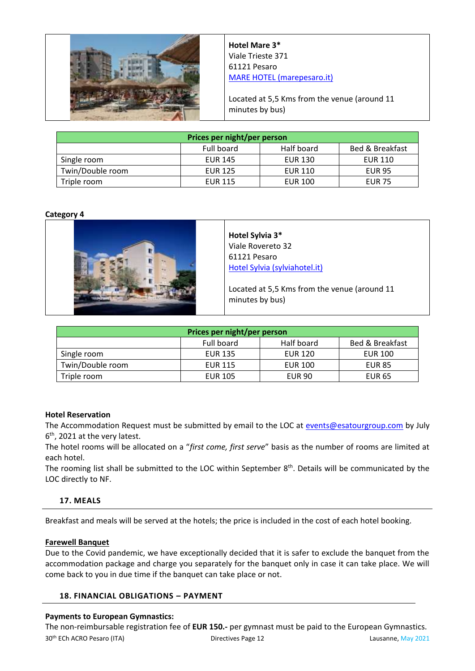

**Hotel Mare 3\*** Viale Trieste 371 61121 Pesaro [MARE HOTEL \(marepesaro.it\)](http://www.marepesaro.it/)

Located at 5,5 Kms from the venue (around 11 minutes by bus)

| Prices per night/per person |                |                |                            |
|-----------------------------|----------------|----------------|----------------------------|
|                             | Full board     | Half board     | <b>Bed &amp; Breakfast</b> |
| Single room                 | <b>EUR 145</b> | <b>EUR 130</b> | <b>EUR 110</b>             |
| Twin/Double room            | <b>EUR 125</b> | <b>EUR 110</b> | <b>EUR 95</b>              |
| Triple room                 | <b>EUR 115</b> | <b>EUR 100</b> | <b>EUR 75</b>              |

#### **Category 4**



**Hotel Sylvia 3\*** Viale Rovereto 32 61121 Pesaro [Hotel Sylvia \(sylviahotel.it\)](http://www.sylviahotel.it/)

Located at 5,5 Kms from the venue (around 11 minutes by bus)

| Prices per night/per person |                |                |                            |
|-----------------------------|----------------|----------------|----------------------------|
|                             | Full board     | Half board     | <b>Bed &amp; Breakfast</b> |
| Single room                 | <b>EUR 135</b> | <b>EUR 120</b> | <b>EUR 100</b>             |
| Twin/Double room            | <b>EUR 115</b> | <b>EUR 100</b> | <b>EUR 85</b>              |
| Triple room                 | <b>EUR 105</b> | <b>EUR 90</b>  | <b>EUR 65</b>              |

#### **Hotel Reservation**

The Accommodation Request must be submitted by email to the LOC at [events@esatourgroup.com](mailto:events@esatourgroup.com) by July 6<sup>th</sup>, 2021 at the very latest.

The hotel rooms will be allocated on a "*first come, first serve*" basis as the number of rooms are limited at each hotel.

The rooming list shall be submitted to the LOC within September  $8<sup>th</sup>$ . Details will be communicated by the LOC directly to NF.

#### <span id="page-11-0"></span>**17. MEALS**

Breakfast and meals will be served at the hotels; the price is included in the cost of each hotel booking.

#### **Farewell Banquet**

Due to the Covid pandemic, we have exceptionally decided that it is safer to exclude the banquet from the accommodation package and charge you separately for the banquet only in case it can take place. We will come back to you in due time if the banquet can take place or not.

#### <span id="page-11-1"></span>**18. FINANCIAL OBLIGATIONS** *–* **PAYMENT**

#### **Payments to European Gymnastics:**

30th ECh ACRO Pesaro (ITA) Directives Page 12 Lausanne, May 2021 The non-reimbursable registration fee of **EUR 150.-** per gymnast must be paid to the European Gymnastics.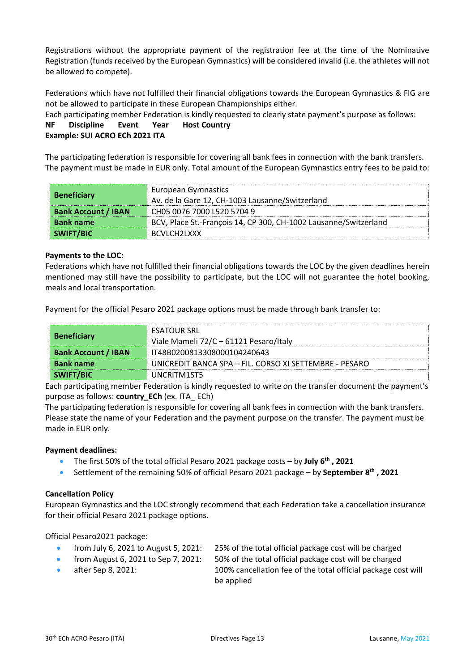Registrations without the appropriate payment of the registration fee at the time of the Nominative Registration (funds received by the European Gymnastics) will be considered invalid (i.e. the athletes will not be allowed to compete).

Federations which have not fulfilled their financial obligations towards the European Gymnastics & FIG are not be allowed to participate in these European Championships either.

Each participating member Federation is kindly requested to clearly state payment's purpose as follows:

**NF Discipline Event Year Host Country Example: SUI ACRO ECh 2021 ITA**

The participating federation is responsible for covering all bank fees in connection with the bank transfers. The payment must be made in EUR only. Total amount of the European Gymnastics entry fees to be paid to:

| <b>Beneficiary</b>         | <b>European Gymnastics</b><br>Av. de la Gare 12, CH-1003 Lausanne/Switzerland |
|----------------------------|-------------------------------------------------------------------------------|
| <b>Bank Account / IBAN</b> | CH05 0076 7000 L520 5704 9                                                    |
| <b>Bank name</b>           | BCV, Place St.-François 14, CP 300, CH-1002 Lausanne/Switzerland              |
| SWIFT/BIC                  | BCVLCH2LXXX                                                                   |

#### **Payments to the LOC:**

Federations which have not fulfilled their financial obligations towards the LOC by the given deadlines herein mentioned may still have the possibility to participate, but the LOC will not guarantee the hotel booking, meals and local transportation.

Payment for the official Pesaro 2021 package options must be made through bank transfer to:

| <b>Beneficiary</b>         | <b>ESATOUR SRL</b><br>Viale Mameli 72/C - 61121 Pesaro/Italy |
|----------------------------|--------------------------------------------------------------|
| <b>Bank Account / IBAN</b> | IT48B0200813308000104240643                                  |
| <b>Bank name</b>           | UNICREDIT BANCA SPA – FIL. CORSO XI SETTEMBRE - PESARO       |
| SWIFT/BIC                  | UNCRITM1ST5                                                  |

Each participating member Federation is kindly requested to write on the transfer document the payment's purpose as follows: **country\_ECh** (ex. ITA\_ ECh)

The participating federation is responsible for covering all bank fees in connection with the bank transfers. Please state the name of your Federation and the payment purpose on the transfer. The payment must be made in EUR only.

#### **Payment deadlines:**

- The first 50% of the total official Pesaro 2021 package costs by **July 6 th , 2021**
- Settlement of the remaining 50% of official Pesaro 2021 package by **September 8th , 2021**

#### **Cancellation Policy**

European Gymnastics and the LOC strongly recommend that each Federation take a cancellation insurance for their official Pesaro 2021 package options.

Official Pesaro2021 package:

- from July 6, 2021 to August 5, 2021: 25% of the total official package cost will be charged
- from August 6, 2021 to Sep 7, 2021: 50% of the total official package cost will be charged
- 
- 
- after Sep 8, 2021: 100% cancellation fee of the total official package cost will be applied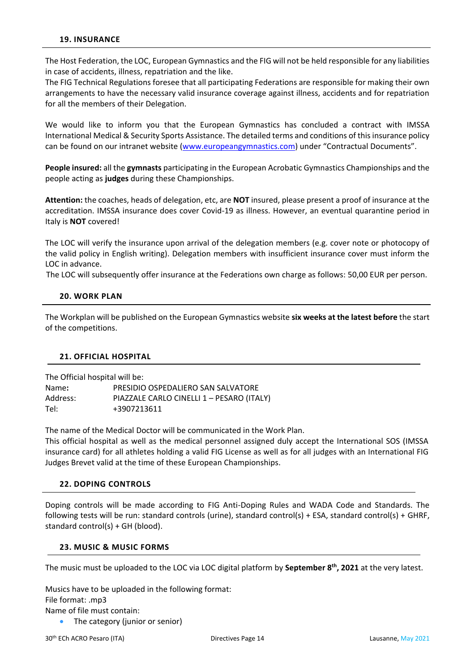<span id="page-13-0"></span>The Host Federation, the LOC, European Gymnastics and the FIG will not be held responsible for any liabilities in case of accidents, illness, repatriation and the like.

The FIG Technical Regulations foresee that all participating Federations are responsible for making their own arrangements to have the necessary valid insurance coverage against illness, accidents and for repatriation for all the members of their Delegation.

We would like to inform you that the European Gymnastics has concluded a contract with IMSSA International Medical & Security Sports Assistance. The detailed terms and conditions of this insurance policy can be found on our intranet website [\(www.europeangymnastics.com\)](http://www.europeangymnastics.com/) under "Contractual Documents".

**People insured:** all the **gymnasts** participating in the European Acrobatic Gymnastics Championships and the people acting as **judges** during these Championships.

**Attention:** the coaches, heads of delegation, etc, are **NOT** insured, please present a proof of insurance at the accreditation. IMSSA insurance does cover Covid-19 as illness. However, an eventual quarantine period in Italy is **NOT** covered!

The LOC will verify the insurance upon arrival of the delegation members (e.g. cover note or photocopy of the valid policy in English writing). Delegation members with insufficient insurance cover must inform the LOC in advance.

The LOC will subsequently offer insurance at the Federations own charge as follows: 50,00 EUR per person.

#### <span id="page-13-1"></span>**20. WORK PLAN**

The Workplan will be published on the European Gymnastics website **six weeks at the latest before** the start of the competitions.

#### <span id="page-13-2"></span>**21. OFFICIAL HOSPITAL**

|          | The Official hospital will be:            |
|----------|-------------------------------------------|
| Name:    | PRESIDIO OSPEDALIERO SAN SALVATORE        |
| Address: | PIAZZALE CARLO CINELLI 1 - PESARO (ITALY) |
| Tel:     | +3907213611                               |

The name of the Medical Doctor will be communicated in the Work Plan.

This official hospital as well as the medical personnel assigned duly accept the International SOS (IMSSA insurance card) for all athletes holding a valid FIG License as well as for all judges with an International FIG Judges Brevet valid at the time of these European Championships.

#### <span id="page-13-3"></span>**22. DOPING CONTROLS**

Doping controls will be made according to FIG Anti-Doping Rules and WADA Code and Standards. The following tests will be run: standard controls (urine), standard control(s) + ESA, standard control(s) + GHRF, standard control(s) + GH (blood).

#### <span id="page-13-4"></span>**23. MUSIC & MUSIC FORMS**

The music must be uploaded to the LOC via LOC digital platform by **September 8th , 2021** at the very latest.

Musics have to be uploaded in the following format: File format: .mp3 Name of file must contain:

The category (junior or senior)